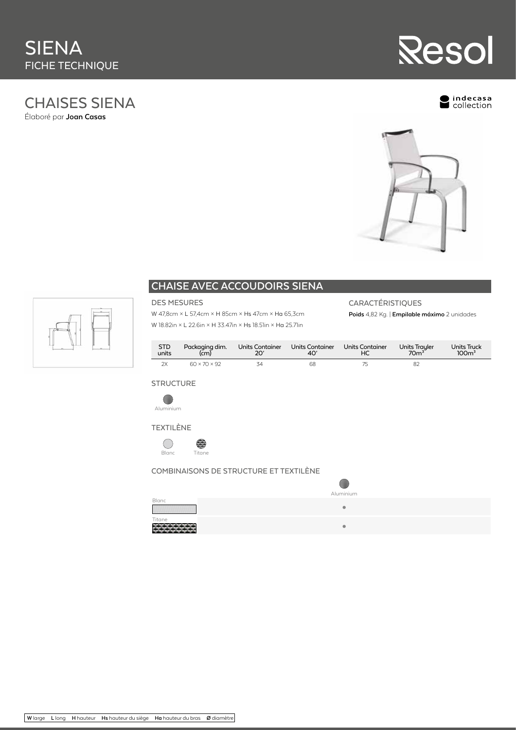# CHAISES SIENA Élaboré par **Joan Casas**

ndecasa<br>collection

**Resol** 





## **CHAISE AVEC ACCOUDOIRS SIENA**

## DES MESURES

W 47,8cm × L 57,4cm × H 85cm × Hs 47cm × Ha 65,3cm W 18.82in × L 22.6in × H 33.47in × Hs 18.51in × Ha 25.71in

## CARACTÉRISTIQUES

**Poids** 4,82 Kg. | **Empilable máximo** 2 unidades

| STD   | Packaging dim.           | Units Container | Units Container | <b>Units Container</b> | Units Trayler | <b>Units Truck</b> |
|-------|--------------------------|-----------------|-----------------|------------------------|---------------|--------------------|
| units | (cm)                     | 20'             | 40'             | HC.                    | $70m^3$       | 100 <sup>3</sup>   |
| 2X    | $60 \times 70 \times 92$ | 34              | 68              |                        | 82            |                    |

### **STRUCTURE**









### COMBINAISONS DE STRUCTURE ET TEXTILÈNE

|              | Aluminium |
|--------------|-----------|
| <b>Blanc</b> |           |
|              | ۰         |
| Titane       |           |
|              | ۰         |
|              |           |



**W** large **L** long **H** hauteur **Hs** hauteur du siège **Ha** hauteur du bras **Ø** diamètre